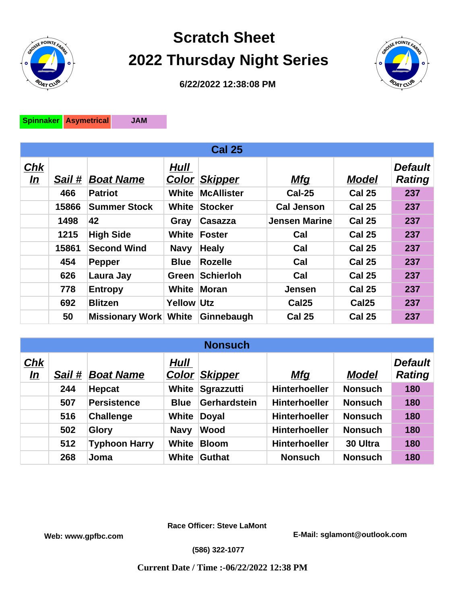

## **Scratch Sheet 2022 Thursday Night Series**



**6/22/2022 12:38:08 PM**

**Spinnaker Asymetrical JAM**

| <b>Cal 25</b>    |        |                              |                   |                   |                      |                   |                                 |  |  |  |
|------------------|--------|------------------------------|-------------------|-------------------|----------------------|-------------------|---------------------------------|--|--|--|
| <b>Chk</b><br>In | Sail # | <b>Boat Name</b>             | Hull<br>Color     | <b>Skipper</b>    | <u>Mfq</u>           | <b>Model</b>      | <b>Default</b><br><b>Rating</b> |  |  |  |
|                  | 466    | <b>Patriot</b>               | White             | <b>McAllister</b> | <b>Cal-25</b>        | <b>Cal 25</b>     | 237                             |  |  |  |
|                  | 15866  | <b>Summer Stock</b>          | White             | <b>Stocker</b>    | <b>Cal Jenson</b>    | <b>Cal 25</b>     | 237                             |  |  |  |
|                  | 1498   | 42                           | Gray              | Casazza           | <b>Jensen Marine</b> | <b>Cal 25</b>     | 237                             |  |  |  |
|                  | 1215   | <b>High Side</b>             | White             | Foster            | Cal                  | <b>Cal 25</b>     | 237                             |  |  |  |
|                  | 15861  | <b>Second Wind</b>           | <b>Navy</b>       | <b>Healy</b>      | Cal                  | <b>Cal 25</b>     | 237                             |  |  |  |
|                  | 454    | <b>Pepper</b>                | <b>Blue</b>       | <b>Rozelle</b>    | Cal                  | <b>Cal 25</b>     | 237                             |  |  |  |
|                  | 626    | Laura Jay                    | Green             | Schierloh         | Cal                  | <b>Cal 25</b>     | 237                             |  |  |  |
|                  | 778    | <b>Entropy</b>               |                   | White Moran       | <b>Jensen</b>        | <b>Cal 25</b>     | 237                             |  |  |  |
|                  | 692    | <b>Blitzen</b>               | <b>Yellow Utz</b> |                   | Cal <sub>25</sub>    | Cal <sub>25</sub> | 237                             |  |  |  |
|                  | 50     | <b>Missionary Work White</b> |                   | Ginnebaugh        | <b>Cal 25</b>        | <b>Cal 25</b>     | 237                             |  |  |  |

| <b>Nonsuch</b>   |        |                      |               |                |                      |                |                                 |  |  |  |
|------------------|--------|----------------------|---------------|----------------|----------------------|----------------|---------------------------------|--|--|--|
| Chk<br><u>In</u> | Sail # | <b>Boat Name</b>     | Hull<br>Color | <b>Skipper</b> | <b>Mfg</b>           | <b>Model</b>   | <b>Default</b><br><b>Rating</b> |  |  |  |
|                  | 244    | <b>Hepcat</b>        | White         | Sgrazzutti     | <b>Hinterhoeller</b> | <b>Nonsuch</b> | 180                             |  |  |  |
|                  | 507    | <b>Persistence</b>   | <b>Blue</b>   | Gerhardstein   | <b>Hinterhoeller</b> | <b>Nonsuch</b> | 180                             |  |  |  |
|                  | 516    | <b>Challenge</b>     | White         | <b>Doyal</b>   | <b>Hinterhoeller</b> | <b>Nonsuch</b> | 180                             |  |  |  |
|                  | 502    | <b>Glory</b>         | <b>Navy</b>   | <b>Wood</b>    | <b>Hinterhoeller</b> | <b>Nonsuch</b> | 180                             |  |  |  |
|                  | 512    | <b>Typhoon Harry</b> | <b>White</b>  | <b>Bloom</b>   | <b>Hinterhoeller</b> | 30 Ultra       | 180                             |  |  |  |
|                  | 268    | Joma                 | White         | Guthat         | <b>Nonsuch</b>       | <b>Nonsuch</b> | 180                             |  |  |  |

**Race Officer: Steve LaMont**

**Web: www.gpfbc.com E-Mail: sglamont@outlook.com**

**(586) 322-1077**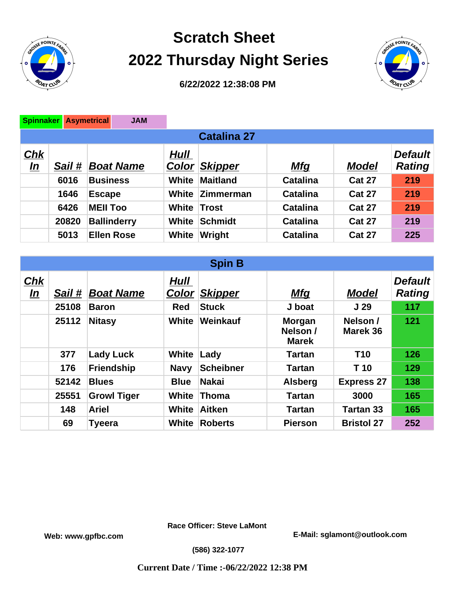

## **Scratch Sheet 2022 Thursday Night Series**



**6/22/2022 12:38:08 PM**

| <b>Spinnaker</b>        |        | <b>Asymetrical</b> | <b>JAM</b>       |                        |                 |                 |               |                                 |  |
|-------------------------|--------|--------------------|------------------|------------------------|-----------------|-----------------|---------------|---------------------------------|--|
| <b>Catalina 27</b>      |        |                    |                  |                        |                 |                 |               |                                 |  |
| <u>Chk</u><br><u>In</u> | Sail # |                    | <b>Boat Name</b> | Hull<br>$\text{Color}$ | <b>Skipper</b>  | <u>Mfq</u>      | <b>Model</b>  | <b>Default</b><br><b>Rating</b> |  |
|                         | 6016   | <b>Business</b>    |                  | White                  | <b>Maitland</b> | <b>Catalina</b> | <b>Cat 27</b> | 219                             |  |
|                         | 1646   | Escape             |                  |                        | White Zimmerman | <b>Catalina</b> | <b>Cat 27</b> | 219                             |  |
|                         | 6426   | <b>MEII Too</b>    |                  | <b>White Trost</b>     |                 | <b>Catalina</b> | <b>Cat 27</b> | 219                             |  |
|                         | 20820  | <b>Ballinderry</b> |                  | White                  | <b>Schmidt</b>  | <b>Catalina</b> | <b>Cat 27</b> | 219                             |  |
|                         | 5013   | <b>Ellen Rose</b>  |                  | White                  | Wright          | <b>Catalina</b> | <b>Cat 27</b> | 225                             |  |

| <b>Spin B</b>            |        |                    |                             |                  |                                           |                      |                                 |  |  |  |
|--------------------------|--------|--------------------|-----------------------------|------------------|-------------------------------------------|----------------------|---------------------------------|--|--|--|
| ${\bf Chk}$<br><u>In</u> | Sail # | <b>Boat Name</b>   | <b>Hull</b><br><u>Color</u> | <b>Skipper</b>   | <u>Mfq</u>                                | <b>Model</b>         | <b>Default</b><br><b>Rating</b> |  |  |  |
|                          | 25108  | <b>Baron</b>       | <b>Red</b>                  | <b>Stuck</b>     | J boat                                    | J <sub>29</sub>      | 117                             |  |  |  |
|                          | 25112  | <b>Nitasy</b>      | White                       | Weinkauf         | <b>Morgan</b><br>Nelson /<br><b>Marek</b> | Nelson /<br>Marek 36 | 121                             |  |  |  |
|                          | 377    | <b>Lady Luck</b>   | White                       | Lady             | Tartan                                    | <b>T10</b>           | 126                             |  |  |  |
|                          | 176    | <b>Friendship</b>  | <b>Navy</b>                 | <b>Scheibner</b> | Tartan                                    | T <sub>10</sub>      | 129                             |  |  |  |
|                          | 52142  | <b>Blues</b>       | <b>Blue</b>                 | <b>Nakai</b>     | <b>Alsberg</b>                            | <b>Express 27</b>    | 138                             |  |  |  |
|                          | 25551  | <b>Growl Tiger</b> | White                       | Thoma            | <b>Tartan</b>                             | 3000                 | 165                             |  |  |  |
|                          | 148    | <b>Ariel</b>       | <b>White</b>                | Aitken           | <b>Tartan</b>                             | Tartan 33            | 165                             |  |  |  |
|                          | 69     | <b>Tyeera</b>      | <b>White</b>                | <b>Roberts</b>   | <b>Pierson</b>                            | <b>Bristol 27</b>    | 252                             |  |  |  |

**Race Officer: Steve LaMont**

**Web: www.gpfbc.com E-Mail: sglamont@outlook.com**

**(586) 322-1077**